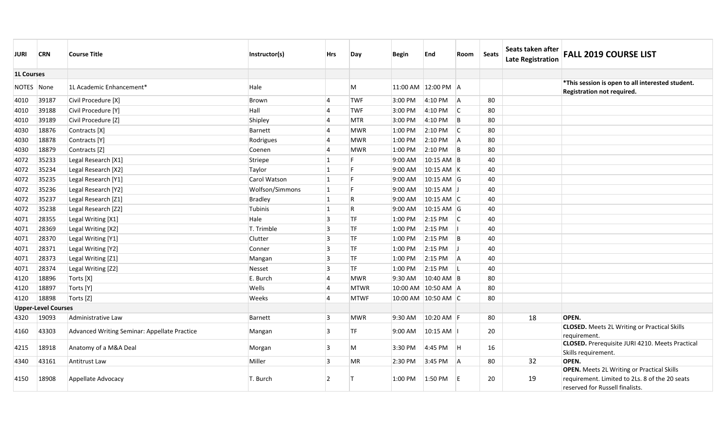| JURI       | <b>CRN</b>                 | <b>Course Title</b>                          | Instructor(s)       | <b>Hrs</b>     | Day          | <b>Begin</b>        | End          | Room                    | Seats | Seats taken after<br><b>Late Registration</b> | <b>FALL 2019 COURSE LIST</b>                                                                                                           |
|------------|----------------------------|----------------------------------------------|---------------------|----------------|--------------|---------------------|--------------|-------------------------|-------|-----------------------------------------------|----------------------------------------------------------------------------------------------------------------------------------------|
|            | <b>1L Courses</b>          |                                              |                     |                |              |                     |              |                         |       |                                               |                                                                                                                                        |
| NOTES None |                            | 1L Academic Enhancement*                     | Hale                |                | M            | 11:00 AM 12:00 PM A |              |                         |       |                                               | *This session is open to all interested student.<br>Registration not required.                                                         |
| 4010       | 39187                      | Civil Procedure [X]                          | <b>Brown</b>        | 14             | <b>TWF</b>   | 3:00 PM             | 4:10 PM      | <sup>I</sup> A          | 80    |                                               |                                                                                                                                        |
| 4010       | 39188                      | Civil Procedure [Y]                          | Hall                | $\overline{4}$ | <b>TWF</b>   | 3:00 PM             | 4:10 PM      | C                       | 80    |                                               |                                                                                                                                        |
| 4010       | 39189                      | Civil Procedure [Z]                          | Shipley             | $\overline{4}$ | <b>MTR</b>   | 3:00 PM             | 4:10 PM      | B                       | 80    |                                               |                                                                                                                                        |
| 4030       | 18876                      | Contracts [X]                                | Barnett             | $\overline{4}$ | <b>MWR</b>   | 1:00 PM             | 2:10 PM      | $\overline{\mathsf{C}}$ | 80    |                                               |                                                                                                                                        |
| 4030       | 18878                      | Contracts [Y]                                | Rodrigues           | 14             | <b>MWR</b>   | 1:00 PM             | 2:10 PM      | <b>A</b>                | 80    |                                               |                                                                                                                                        |
| 4030       | 18879                      | Contracts [Z]                                | Coenen              | $\overline{4}$ | <b>MWR</b>   | 1:00 PM             | 2:10 PM      | B                       | 80    |                                               |                                                                                                                                        |
| 4072       | 35233                      | Legal Research [X1]                          | Striepe             | $\vert$ 1      |              | 9:00 AM             | 10:15 AM B   |                         | 40    |                                               |                                                                                                                                        |
| 4072       | 35234                      | Legal Research [X2]                          | Taylor              | $\vert$ 1      | F            | 9:00 AM             | 10:15 AM K   |                         | 40    |                                               |                                                                                                                                        |
| 4072       | 35235                      | Legal Research [Y1]                          | <b>Carol Watson</b> | $\mathbf{1}$   | F            | 9:00 AM             | 10:15 AM G   |                         | 40    |                                               |                                                                                                                                        |
| 4072       | 35236                      | Legal Research [Y2]                          | Wolfson/Simmons     | 1              | F            | 9:00 AM             | $10:15$ AM J |                         | 40    |                                               |                                                                                                                                        |
| 4072       | 35237                      | Legal Research [Z1]                          | Bradley             | $\mathbf{1}$   | $\mathsf R$  | 9:00 AM             | $10:15$ AM C |                         | 40    |                                               |                                                                                                                                        |
| 4072       | 35238                      | Legal Research [Z2]                          | Tubinis             | $\vert$ 1      | $\mathsf{R}$ | 9:00 AM             | $10:15$ AM G |                         | 40    |                                               |                                                                                                                                        |
| 4071       | 28355                      | Legal Writing [X1]                           | Hale                | 3              | <b>TF</b>    | 1:00 PM             | 2:15 PM      | $\overline{\mathsf{C}}$ | 40    |                                               |                                                                                                                                        |
| 4071       | 28369                      | Legal Writing [X2]                           | T. Trimble          | $\overline{3}$ | TF           | 1:00 PM             | 2:15 PM      |                         | 40    |                                               |                                                                                                                                        |
| 4071       | 28370                      | Legal Writing [Y1]                           | Clutter             | $\overline{3}$ | <b>TF</b>    | 1:00 PM             | $2:15$ PM    | B                       | 40    |                                               |                                                                                                                                        |
| 4071       | 28371                      | Legal Writing [Y2]                           | Conner              | 3              | <b>TF</b>    | 1:00 PM             | 2:15 PM      |                         | 40    |                                               |                                                                                                                                        |
| 4071       | 28373                      | Legal Writing [Z1]                           | Mangan              | 3              | <b>ITF</b>   | 1:00 PM             | 2:15 PM      | -lA                     | 40    |                                               |                                                                                                                                        |
| 4071       | 28374                      | Legal Writing [Z2]                           | Nesset              | $\overline{3}$ | <b>TF</b>    | 1:00 PM             | $2:15$ PM    | ΙL                      | 40    |                                               |                                                                                                                                        |
| 4120       | 18896                      | Torts [X]                                    | E. Burch            | $\overline{4}$ | <b>MWR</b>   | 9:30 AM             | 10:40 AM B   |                         | 80    |                                               |                                                                                                                                        |
| 4120       | 18897                      | Torts [Y]                                    | Wells               | $\overline{4}$ | <b>MTWR</b>  | 10:00 AM 10:50 AM A |              |                         | 80    |                                               |                                                                                                                                        |
| 4120       | 18898                      | Torts [Z]                                    | Weeks               | 14             | <b>MTWF</b>  | 10:00 AM 10:50 AM C |              |                         | 80    |                                               |                                                                                                                                        |
|            | <b>Upper-Level Courses</b> |                                              |                     |                |              |                     |              |                         |       |                                               |                                                                                                                                        |
| 4320       | 19093                      | Administrative Law                           | <b>Barnett</b>      | 3              | <b>MWR</b>   | 9:30 AM             | 10:20 AM F   |                         | 80    | 18                                            | OPEN.                                                                                                                                  |
| 4160       | 43303                      | Advanced Writing Seminar: Appellate Practice | Mangan              | 3              | <b>ITF</b>   | 9:00 AM             | 10:15 AM     |                         | 20    |                                               | <b>CLOSED.</b> Meets 2L Writing or Practical Skills<br>requirement.                                                                    |
| 4215       | 18918                      | Anatomy of a M&A Deal                        | Morgan              | 3              | M            | 3:30 PM             | 4:45 PM      | ΙH.                     | 16    |                                               | <b>CLOSED.</b> Prerequisite JURI 4210. Meets Practical<br>Skills requirement.                                                          |
| 4340       | 43161                      | Antitrust Law                                | Miller              | $\overline{3}$ | <b>MR</b>    | 2:30 PM             | 3:45 PM      | <sup>A</sup>            | 80    | 32                                            | OPEN.                                                                                                                                  |
| 4150       | 18908                      | Appellate Advocacy                           | T. Burch            | $\overline{2}$ |              | 1:00 PM             | 1:50 PM      | F                       | 20    | 19                                            | <b>OPEN.</b> Meets 2L Writing or Practical Skills<br>requirement. Limited to 2Ls. 8 of the 20 seats<br>reserved for Russell finalists. |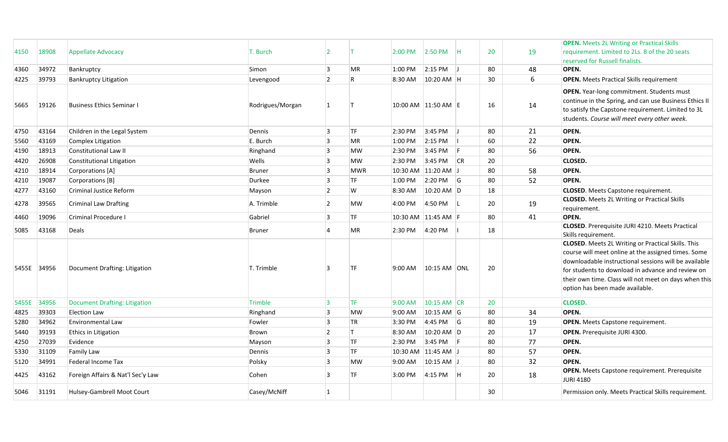|       |             |                                   |                  |                         |              |                     |                   |          |    |    | <b>OPEN.</b> Meets 2L Writing or Practical Skills                                                                                                                                                                                                                                                                          |
|-------|-------------|-----------------------------------|------------------|-------------------------|--------------|---------------------|-------------------|----------|----|----|----------------------------------------------------------------------------------------------------------------------------------------------------------------------------------------------------------------------------------------------------------------------------------------------------------------------------|
| 4150  | 18908       | <b>Appellate Advocacy</b>         | T. Burch         | 12                      |              | $2:00$ PM           | $2:50 \text{ PM}$ | IH.      | 20 | 19 | requirement. Limited to 2Ls. 8 of the 20 seats                                                                                                                                                                                                                                                                             |
|       |             |                                   |                  |                         |              |                     |                   |          |    |    | reserved for Russell finalists.                                                                                                                                                                                                                                                                                            |
| 4360  | 34972       | Bankruptcy                        | Simon            | 3                       | <b>MR</b>    | 1:00 PM             | 2:15 PM           |          | 80 | 48 | OPEN.                                                                                                                                                                                                                                                                                                                      |
| 4225  | 39793       | <b>Bankruptcy Litigation</b>      | Levengood        | $\overline{2}$          | $\mathsf{R}$ | 8:30 AM             | 10:20 AM H        |          | 30 | 6  | <b>OPEN.</b> Meets Practical Skills requirement                                                                                                                                                                                                                                                                            |
| 5665  | 19126       | Business Ethics Seminar I         | Rodrigues/Morgan | $\overline{1}$          |              | 10:00 AM 11:50 AM E |                   |          | 16 | 14 | <b>OPEN.</b> Year-long commitment. Students must<br>continue in the Spring, and can use Business Ethics II<br>to satisfy the Capstone requirement. Limited to 3L<br>students. Course will meet every other week.                                                                                                           |
| 4750  | 43164       | Children in the Legal System      | Dennis           | $\vert$ 3               | <b>TF</b>    | 2:30 PM             | 3:45 PM           |          | 80 | 21 | OPEN.                                                                                                                                                                                                                                                                                                                      |
| 5560  | 43169       | Complex Litigation                | E. Burch         | $\vert$ 3               | <b>MR</b>    | 1:00 PM             | 2:15 PM           |          | 60 | 22 | OPEN.                                                                                                                                                                                                                                                                                                                      |
| 4190  | 18913       | <b>Constitutional Law II</b>      | Ringhand         | 3                       | <b>MW</b>    | 2:30 PM             | 3:45 PM           | F        | 80 | 56 | OPEN.                                                                                                                                                                                                                                                                                                                      |
| 4420  | 26908       | Constitutional Litigation         | Wells            | 3                       | <b>MW</b>    | 2:30 PM             | 3:45 PM           | CR       | 20 |    | <b>CLOSED.</b>                                                                                                                                                                                                                                                                                                             |
| 4210  | 18914       | Corporations [A]                  | Bruner           | $\overline{3}$          | <b>MWR</b>   | 10:30 AM 11:20 AM J |                   |          | 80 | 58 | OPEN.                                                                                                                                                                                                                                                                                                                      |
| 4210  | 19087       | Corporations [B]                  | Durkee           | $\overline{3}$          | TF           | 1:00 PM             | 2:20 PM           | G        | 80 | 52 | OPEN.                                                                                                                                                                                                                                                                                                                      |
| 4277  | 43160       | Criminal Justice Reform           | Mayson           | $\overline{2}$          | W            | 8:30 AM             | 10:20 AM D        |          | 18 |    | <b>CLOSED.</b> Meets Capstone requirement.                                                                                                                                                                                                                                                                                 |
| 4278  | 39565       | <b>Criminal Law Drafting</b>      | A. Trimble       | 2                       | <b>MW</b>    | 4:00 PM             | 4:50 PM           | L        | 20 | 19 | <b>CLOSED.</b> Meets 2L Writing or Practical Skills<br>requirement.                                                                                                                                                                                                                                                        |
| 4460  | 19096       | Criminal Procedure                | Gabriel          | 3                       | <b>TF</b>    | 10:30 AM 11:45 AM F |                   |          | 80 | 41 | OPEN.                                                                                                                                                                                                                                                                                                                      |
| 5085  | 43168       | Deals                             | <b>Bruner</b>    | $\overline{4}$          | <b>MR</b>    | 2:30 PM             | 4:20 PM           |          | 18 |    | <b>CLOSED</b> . Prerequisite JURI 4210. Meets Practical<br>Skills requirement.                                                                                                                                                                                                                                             |
|       | 5455E 34956 | Document Drafting: Litigation     | T. Trimble       | 3                       | TF           | 9:00 AM             | 10:15 AM ONL      |          | 20 |    | <b>CLOSED.</b> Meets 2L Writing or Practical Skills. This<br>course will meet online at the assigned times. Some<br>downloadable instructional sessions will be available<br>for students to download in advance and review on<br>their own time. Class will not meet on days when this<br>option has been made available. |
| 5455E | 34956       | Document Drafting: Litigation     | Trimble          | 3                       | <b>ITF</b>   | $9:00$ AM           | 10:15 AM CR       |          | 20 |    | <b>CLOSED.</b>                                                                                                                                                                                                                                                                                                             |
| 4825  | 39303       | <b>Election Law</b>               | Ringhand         | 3                       | <b>MW</b>    | 9:00 AM             | 10:15 AM G        |          | 80 | 34 | OPEN.                                                                                                                                                                                                                                                                                                                      |
| 5280  | 34962       | <b>Environmental Law</b>          | Fowler           | $\overline{\mathbf{3}}$ | <b>TR</b>    | 3:30 PM             | 4:45 PM           | l G      | 80 | 19 | <b>OPEN.</b> Meets Capstone requirement.                                                                                                                                                                                                                                                                                   |
| 5440  | 39193       | Ethics in Litigation              | Brown            | $\overline{2}$          | $\mathsf{T}$ | 8:30 AM             | 10:20 AM D        |          | 20 | 17 | <b>OPEN.</b> Prerequisite JURI 4300.                                                                                                                                                                                                                                                                                       |
| 4250  | 27039       | Evidence                          | Mayson           | 3                       | <b>TF</b>    | 2:30 PM             | 3:45 PM           | IF.      | 80 | 77 | OPEN.                                                                                                                                                                                                                                                                                                                      |
| 5330  | 31109       | Family Law                        | Dennis           | 3                       | TF           | 10:30 AM 11:45 AM J |                   |          | 80 | 57 | OPEN.                                                                                                                                                                                                                                                                                                                      |
| 5120  | 34991       | Federal Income Tax                | Polsky           | $\overline{3}$          | <b>MW</b>    | $9:00$ AM           | 10:15 AM J        |          | 80 | 32 | OPEN.                                                                                                                                                                                                                                                                                                                      |
| 4425  | 43162       | Foreign Affairs & Nat'l Sec'y Law | Cohen            | 3                       | <b>TF</b>    | 3:00 PM             | 4:15 PM           | <b>H</b> | 20 | 18 | <b>OPEN.</b> Meets Capstone requirement. Prerequisite<br><b>JURI 4180</b>                                                                                                                                                                                                                                                  |
| 5046  | 31191       | Hulsey-Gambrell Moot Court        | Casey/McNiff     | $\vert$ 1               |              |                     |                   |          | 30 |    | Permission only. Meets Practical Skills requirement.                                                                                                                                                                                                                                                                       |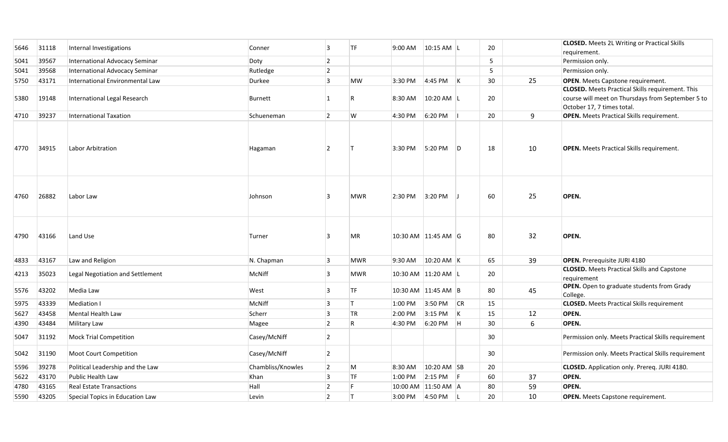| 5646 | 31118 | Internal Investigations          | Conner            | 3              | <b>TF</b>  | 9:00 AM             | $10:15$ AM L |     | 20 |    | <b>CLOSED.</b> Meets 2L Writing or Practical Skills                                                                                        |
|------|-------|----------------------------------|-------------------|----------------|------------|---------------------|--------------|-----|----|----|--------------------------------------------------------------------------------------------------------------------------------------------|
|      |       |                                  |                   |                |            |                     |              |     |    |    | requirement.                                                                                                                               |
| 5041 | 39567 | International Advocacy Seminar   | Doty              | $\overline{2}$ |            |                     |              |     | 5  |    | Permission only.                                                                                                                           |
| 5041 | 39568 | International Advocacy Seminar   | Rutledge          | $\overline{2}$ |            |                     |              |     | 5  |    | Permission only.                                                                                                                           |
| 5750 | 43171 | International Environmental Law  | Durkee            | 3              | <b>MW</b>  | 3:30 PM             | 4:45 PM      | K   | 30 | 25 | <b>OPEN.</b> Meets Capstone requirement.                                                                                                   |
| 5380 | 19148 | International Legal Research     | <b>Burnett</b>    | $\vert$ 1      |            | 8:30 AM             | 10:20 AM L   |     | 20 |    | <b>CLOSED.</b> Meets Practical Skills requirement. This<br>course will meet on Thursdays from September 5 to<br>October 17, 7 times total. |
| 4710 | 39237 | <b>International Taxation</b>    | Schueneman        | $\overline{2}$ | W          | 4:30 PM             | 6:20 PM      |     | 20 | 9  | <b>OPEN.</b> Meets Practical Skills requirement.                                                                                           |
| 4770 | 34915 | Labor Arbitration                | Hagaman           | $\overline{2}$ |            | 3:30 PM             | 5:20 PM      | ID. | 18 | 10 | <b>OPEN.</b> Meets Practical Skills requirement.                                                                                           |
| 4760 | 26882 | Labor Law                        | Johnson           | 3              | <b>MWR</b> | 2:30 PM             | 3:20 PM      |     | 60 | 25 | OPEN.                                                                                                                                      |
| 4790 | 43166 | Land Use                         | Turner            | 3              | <b>MR</b>  | 10:30 AM 11:45 AM G |              |     | 80 | 32 | OPEN.                                                                                                                                      |
| 4833 | 43167 | Law and Religion                 | N. Chapman        | 3              | <b>MWR</b> | 9:30 AM             | $10:20$ AM K |     | 65 | 39 | <b>OPEN.</b> Prerequisite JURI 4180                                                                                                        |
| 4213 | 35023 | Legal Negotiation and Settlement | <b>McNiff</b>     | 3              | <b>MWR</b> | 10:30 AM 11:20 AM L |              |     | 20 |    | <b>CLOSED.</b> Meets Practical Skills and Capstone<br>requirement                                                                          |
| 5576 | 43202 | Media Law                        | West              | 3              | <b>TF</b>  | 10:30 AM 11:45 AM B |              |     | 80 | 45 | <b>OPEN.</b> Open to graduate students from Grady<br>College.                                                                              |
| 5975 | 43339 | <b>Mediation I</b>               | McNiff            | $\overline{3}$ | $\top$     | 1:00 PM             | 3:50 PM      | CR  | 15 |    | <b>CLOSED.</b> Meets Practical Skills requirement                                                                                          |
| 5627 | 43458 | <b>Mental Health Law</b>         | Scherr            | $\overline{3}$ | <b>TR</b>  | 2:00 PM             | $3:15$ PM    | K   | 15 | 12 | OPEN.                                                                                                                                      |
| 4390 | 43484 | Military Law                     | Magee             | $\overline{2}$ | R.         | 4:30 PM             | 6:20 PM      | Iн. | 30 | 6  | OPEN.                                                                                                                                      |
| 5047 | 31192 | <b>Mock Trial Competition</b>    | Casey/McNiff      | $\overline{2}$ |            |                     |              |     | 30 |    | Permission only. Meets Practical Skills requirement                                                                                        |
| 5042 | 31190 | <b>Moot Court Competition</b>    | Casey/McNiff      | $\overline{2}$ |            |                     |              |     | 30 |    | Permission only. Meets Practical Skills requirement                                                                                        |
| 5596 | 39278 | Political Leadership and the Law | Chambliss/Knowles | $\overline{2}$ | M          | 8:30 AM             | 10:20 AM SB  |     | 20 |    | CLOSED. Application only. Prereq. JURI 4180.                                                                                               |
| 5622 | 43170 | Public Health Law                | Khan              | 3              | <b>TF</b>  | 1:00 PM             | 2:15 PM      | l F | 60 | 37 | OPEN.                                                                                                                                      |
| 4780 | 43165 | <b>Real Estate Transactions</b>  | Hall              | $\overline{2}$ | F.         | 10:00 AM 11:50 AM A |              |     | 80 | 59 | OPEN.                                                                                                                                      |
| 5590 | 43205 | Special Topics in Education Law  | Levin             | $\overline{2}$ | IT.        | 3:00 PM             | 4:50 PM      | ΙL  | 20 | 10 | <b>OPEN.</b> Meets Capstone requirement.                                                                                                   |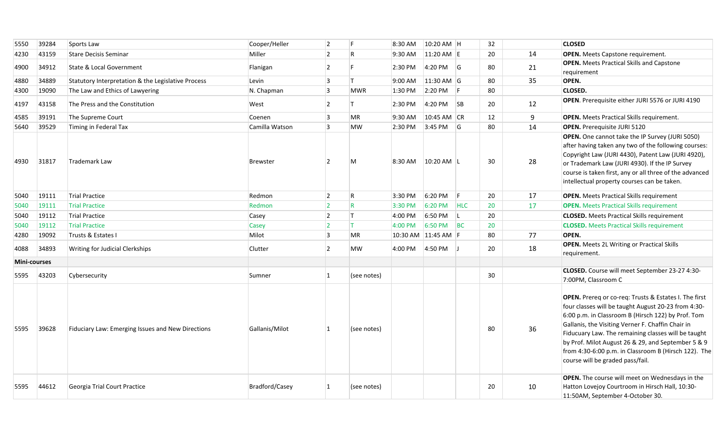| 5550         | 39284 | Sports Law                                         | Cooper/Heller   | $\vert$ 2      | F              | 8:30 AM | 10:20 AM H          |                         | 32 |    | <b>CLOSED</b>                                                                                                                                                                                                                                                                                                                                                                                                                    |
|--------------|-------|----------------------------------------------------|-----------------|----------------|----------------|---------|---------------------|-------------------------|----|----|----------------------------------------------------------------------------------------------------------------------------------------------------------------------------------------------------------------------------------------------------------------------------------------------------------------------------------------------------------------------------------------------------------------------------------|
| 4230         | 43159 | <b>Stare Decisis Seminar</b>                       | Miller          | $\overline{2}$ | R              | 9:30 AM | 11:20 AM E          |                         | 20 | 14 | <b>OPEN.</b> Meets Capstone requirement.                                                                                                                                                                                                                                                                                                                                                                                         |
| 4900         | 34912 | <b>State &amp; Local Government</b>                | Flanigan        | $\overline{2}$ |                | 2:30 PM | 4:20 PM             | <sup>1</sup> G          | 80 | 21 | <b>OPEN.</b> Meets Practical Skills and Capstone<br>requirement                                                                                                                                                                                                                                                                                                                                                                  |
| 4880         | 34889 | Statutory Interpretation & the Legislative Process | Levin           | 13             | Iт.            | 9:00 AM | 11:30 AM G          |                         | 80 | 35 | OPEN.                                                                                                                                                                                                                                                                                                                                                                                                                            |
| 4300         | 19090 | The Law and Ethics of Lawyering                    | N. Chapman      | $\vert$ 3      | <b>MWR</b>     | 1:30 PM | 2:20 PM             | -IF                     | 80 |    | <b>CLOSED.</b>                                                                                                                                                                                                                                                                                                                                                                                                                   |
| 4197         | 43158 | The Press and the Constitution                     | West            | $\overline{2}$ |                | 2:30 PM | 4:20 PM             | $\overline{\mathsf{S}}$ | 20 | 12 | OPEN. Prerequisite either JURI 5576 or JURI 4190                                                                                                                                                                                                                                                                                                                                                                                 |
| 4585         | 39191 | The Supreme Court                                  | Coenen          | $\vert$ 3      | MR             | 9:30 AM | 10:45 AM CR         |                         | 12 | 9  | <b>OPEN.</b> Meets Practical Skills requirement.                                                                                                                                                                                                                                                                                                                                                                                 |
| 5640         | 39529 | Timing in Federal Tax                              | Camilla Watson  | 13             | <b>MW</b>      | 2:30 PM | 3:45 PM             | l G                     | 80 | 14 | <b>OPEN.</b> Prerequisite JURI 5120                                                                                                                                                                                                                                                                                                                                                                                              |
| 4930         | 31817 | <b>Trademark Law</b>                               | <b>Brewster</b> | $\overline{2}$ | M              | 8:30 AM | 10:20 AM L          |                         | 30 | 28 | <b>OPEN.</b> One cannot take the IP Survey (JURI 5050)<br>after having taken any two of the following courses:<br>Copyright Law (JURI 4430), Patent Law (JURI 4920),<br>or Trademark Law (JURI 4930). If the IP Survey<br>course is taken first, any or all three of the advanced<br>intellectual property courses can be taken.                                                                                                 |
| 5040         | 19111 | <b>Trial Practice</b>                              | Redmon          | 2              | $\mathsf R$    | 3:30 PM | 6:20 PM             | -lF                     | 20 | 17 | <b>OPEN.</b> Meets Practical Skills requirement                                                                                                                                                                                                                                                                                                                                                                                  |
| 5040         | 19111 | <b>Trial Practice</b>                              | Redmon          | 2              | $\overline{R}$ | 3:30 PM | 6:20 PM             | <b>HLC</b>              | 20 | 17 | <b>OPEN.</b> Meets Practical Skills requirement                                                                                                                                                                                                                                                                                                                                                                                  |
| 5040         | 19112 | <b>Trial Practice</b>                              | Casey           | $\vert$ 2      | IT.            | 4:00 PM | 6:50 PM             | ΙL                      | 20 |    | <b>CLOSED.</b> Meets Practical Skills requirement                                                                                                                                                                                                                                                                                                                                                                                |
| 5040         | 19112 | <b>Trial Practice</b>                              | Casey           | 12             | IT.            | 4:00 PM | 6:50 PM             | BC                      | 20 |    | <b>CLOSED.</b> Meets Practical Skills requirement                                                                                                                                                                                                                                                                                                                                                                                |
| 4280         | 19092 | Trusts & Estates I                                 | Milot           | 3              | <b>MR</b>      |         | 10:30 AM 11:45 AM F |                         | 80 | 77 | OPEN.                                                                                                                                                                                                                                                                                                                                                                                                                            |
| 4088         | 34893 | Writing for Judicial Clerkships                    | Clutter         | 2              | <b>MW</b>      | 4:00 PM | 4:50 PM             | IJ                      | 20 | 18 | <b>OPEN.</b> Meets 2L Writing or Practical Skills<br>requirement.                                                                                                                                                                                                                                                                                                                                                                |
| Mini-courses |       |                                                    |                 |                |                |         |                     |                         |    |    |                                                                                                                                                                                                                                                                                                                                                                                                                                  |
| 5595         | 43203 | Cybersecurity                                      | Sumner          | $\overline{1}$ | (see notes)    |         |                     |                         | 30 |    | CLOSED. Course will meet September 23-27 4:30-<br>7:00PM, Classroom C                                                                                                                                                                                                                                                                                                                                                            |
| 5595         | 39628 | Fiduciary Law: Emerging Issues and New Directions  | Gallanis/Milot  | $\mathbf{1}$   | (see notes)    |         |                     |                         | 80 | 36 | OPEN. Prereq or co-req: Trusts & Estates I. The first<br>four classes will be taught August 20-23 from 4:30-<br>6:00 p.m. in Classroom B (Hirsch 122) by Prof. Tom<br>Gallanis, the Visiting Verner F. Chaffin Chair in<br>Fiducuary Law. The remaining classes will be taught<br>by Prof. Milot August 26 & 29, and September 5 & 9<br>from 4:30-6:00 p.m. in Classroom B (Hirsch 122). The<br>course will be graded pass/fail. |
| 5595         | 44612 | Georgia Trial Court Practice                       | Bradford/Casey  | 1              | (see notes)    |         |                     |                         | 20 | 10 | OPEN. The course will meet on Wednesdays in the<br>Hatton Lovejoy Courtroom in Hirsch Hall, 10:30-<br>11:50AM, September 4-October 30.                                                                                                                                                                                                                                                                                           |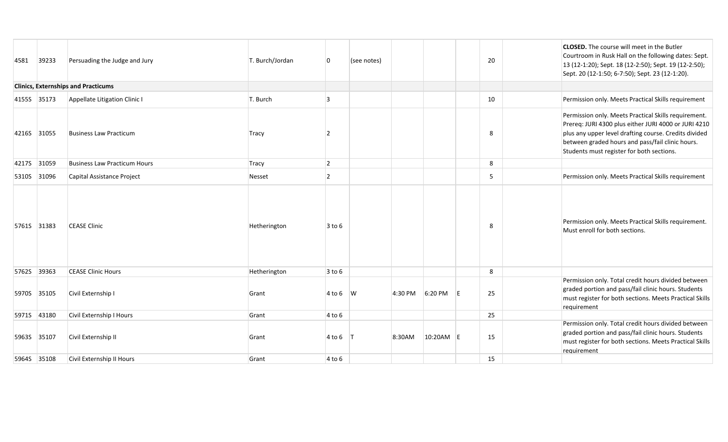| 4581        | 39233       | Persuading the Judge and Jury              | T. Burch/Jordan | 0              | (see notes)    |         |           |   | 20 | <b>CLOSED.</b> The course will meet in the Butler<br>Courtroom in Rusk Hall on the following dates: Sept.<br>13 (12-1:20); Sept. 18 (12-2:50); Sept. 19 (12-2:50);<br>Sept. 20 (12-1:50; 6-7:50); Sept. 23 (12-1:20).                                                  |
|-------------|-------------|--------------------------------------------|-----------------|----------------|----------------|---------|-----------|---|----|------------------------------------------------------------------------------------------------------------------------------------------------------------------------------------------------------------------------------------------------------------------------|
|             |             | <b>Clinics, Externships and Practicums</b> |                 |                |                |         |           |   |    |                                                                                                                                                                                                                                                                        |
|             | 4155S 35173 | Appellate Litigation Clinic I              | T. Burch        | $\vert$ 3      |                |         |           |   | 10 | Permission only. Meets Practical Skills requirement                                                                                                                                                                                                                    |
|             | 4216S 31055 | <b>Business Law Practicum</b>              | Tracy           | $\overline{2}$ |                |         |           |   | 8  | Permission only. Meets Practical Skills requirement.<br>Prereq: JURI 4300 plus either JURI 4000 or JURI 4210<br>plus any upper level drafting course. Credits divided<br>between graded hours and pass/fail clinic hours.<br>Students must register for both sections. |
|             | 4217S 31059 | <b>Business Law Practicum Hours</b>        | Tracy           | $\overline{2}$ |                |         |           |   | 8  |                                                                                                                                                                                                                                                                        |
|             | 5310S 31096 | Capital Assistance Project                 | Nesset          | $\vert$ 2      |                |         |           |   | 5  | Permission only. Meets Practical Skills requirement                                                                                                                                                                                                                    |
|             | 5761S 31383 | <b>CEASE Clinic</b>                        | Hetherington    | $3$ to 6       |                |         |           |   | 8  | Permission only. Meets Practical Skills requirement.<br>Must enroll for both sections.                                                                                                                                                                                 |
| 5762S 39363 |             | <b>CEASE Clinic Hours</b>                  | Hetherington    | $3$ to 6       |                |         |           |   | 8  |                                                                                                                                                                                                                                                                        |
|             | 5970S 35105 | Civil Externship I                         | Grant           | $4$ to 6 W     |                | 4:30 PM | 6:20 PM   | E | 25 | Permission only. Total credit hours divided between<br>graded portion and pass/fail clinic hours. Students<br>must register for both sections. Meets Practical Skills<br>requirement                                                                                   |
|             | 5971S 43180 | Civil Externship I Hours                   | Grant           | 4 to 6         |                |         |           |   | 25 |                                                                                                                                                                                                                                                                        |
|             | 5963S 35107 | Civil Externship II                        | Grant           | $4$ to 6       | $\blacksquare$ | 8:30AM  | 10:20AM E |   | 15 | Permission only. Total credit hours divided between<br>graded portion and pass/fail clinic hours. Students<br>must register for both sections. Meets Practical Skills<br>requirement                                                                                   |
|             | 5964S 35108 | Civil Externship II Hours                  | Grant           | $4$ to 6       |                |         |           |   | 15 |                                                                                                                                                                                                                                                                        |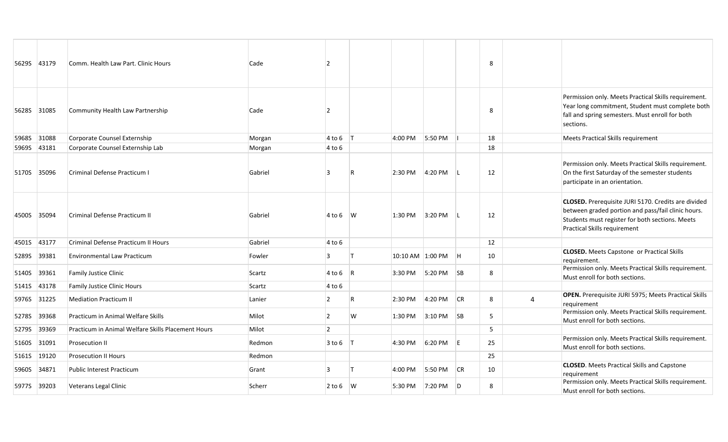| 56295 43179  |       | Comm. Health Law Part. Clinic Hours                | Cade    | $\overline{2}$ |     |                  |         |                | 8  |   |                                                                                                                                                                                                     |
|--------------|-------|----------------------------------------------------|---------|----------------|-----|------------------|---------|----------------|----|---|-----------------------------------------------------------------------------------------------------------------------------------------------------------------------------------------------------|
| 5628S 31085  |       | Community Health Law Partnership                   | Cade    | $\overline{2}$ |     |                  |         |                | 8  |   | Permission only. Meets Practical Skills requirement.<br>Year long commitment, Student must complete both<br>fall and spring semesters. Must enroll for both<br>sections.                            |
| 5968S        | 31088 | Corporate Counsel Externship                       | Morgan  | $4$ to 6 T     |     | 4:00 PM          | 5:50 PM |                | 18 |   | Meets Practical Skills requirement                                                                                                                                                                  |
| 59695 43181  |       | Corporate Counsel Externship Lab                   | Morgan  | 4 to 6         |     |                  |         |                | 18 |   |                                                                                                                                                                                                     |
| 5170S 35096  |       | Criminal Defense Practicum I                       | Gabriel | 3              |     | 2:30 PM          | 4:20 PM | ΠL             | 12 |   | Permission only. Meets Practical Skills requirement.<br>On the first Saturday of the semester students<br>participate in an orientation.                                                            |
| 4500S 35094  |       | <b>Criminal Defense Practicum II</b>               | Gabriel | $4 to 6$ W     |     | 1:30 PM          | 3:20 PM | - L            | 12 |   | CLOSED. Prerequisite JURI 5170. Credits are divided<br>between graded portion and pass/fail clinic hours.<br>Students must register for both sections. Meets<br><b>Practical Skills requirement</b> |
| 45015 43177  |       | Criminal Defense Practicum II Hours                | Gabriel | $4$ to 6       |     |                  |         |                | 12 |   |                                                                                                                                                                                                     |
| 5289S        | 39381 | <b>Environmental Law Practicum</b>                 | Fowler  | $\overline{3}$ |     | 10:10 AM 1:00 PM |         | H              | 10 |   | <b>CLOSED.</b> Meets Capstone or Practical Skills<br>requirement.                                                                                                                                   |
| 5140S 39361  |       | <b>Family Justice Clinic</b>                       | Scartz  | $4$ to 6 R     |     | 3:30 PM          | 5:20 PM | <b>SB</b>      | 8  |   | Permission only. Meets Practical Skills requirement.<br>Must enroll for both sections.                                                                                                              |
| <b>5141S</b> | 43178 | <b>Family Justice Clinic Hours</b>                 | Scartz  | $4$ to 6       |     |                  |         |                |    |   |                                                                                                                                                                                                     |
| 5976S 31225  |       | <b>Mediation Practicum II</b>                      | Lanier  | $\overline{2}$ | IR. | 2:30 PM          | 4:20 PM | CR             | 8  | 4 | OPEN. Prerequisite JURI 5975; Meets Practical Skills<br>requirement                                                                                                                                 |
| 5278S        | 39368 | Practicum in Animal Welfare Skills                 | Milot   | $\overline{2}$ | W   | 1:30 PM          | 3:10 PM | SB             | 5  |   | Permission only. Meets Practical Skills requirement.<br>Must enroll for both sections.                                                                                                              |
| 5279S        | 39369 | Practicum in Animal Welfare Skills Placement Hours | Milot   | $\overline{2}$ |     |                  |         |                | 5  |   |                                                                                                                                                                                                     |
| 5160S        | 31091 | Prosecution II                                     | Redmon  | $3 to 6$ T     |     | 4:30 PM          | 6:20 PM | E              | 25 |   | Permission only. Meets Practical Skills requirement.<br>Must enroll for both sections.                                                                                                              |
| 5161S        | 19120 | <b>Prosecution II Hours</b>                        | Redmon  |                |     |                  |         |                | 25 |   |                                                                                                                                                                                                     |
| 5960S        | 34871 | <b>Public Interest Practicum</b>                   | Grant   | 3              |     | 4:00 PM          | 5:50 PM | <b>CR</b>      | 10 |   | <b>CLOSED</b> . Meets Practical Skills and Capstone<br>requirement                                                                                                                                  |
| 5977S 39203  |       | Veterans Legal Clinic                              | Scherr  | $2 to 6$ W     |     | 5:30 PM          | 7:20 PM | $\overline{D}$ | 8  |   | Permission only. Meets Practical Skills requirement.<br>Must enroll for both sections.                                                                                                              |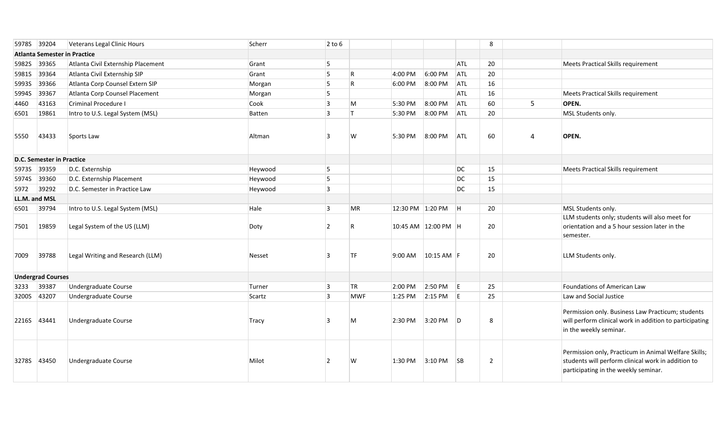|       | 5978S 39204                      | Veterans Legal Clinic Hours         | Scherr  | $2$ to 6       |              |                  |                     |            | 8              |   |                                                                                                                                                    |
|-------|----------------------------------|-------------------------------------|---------|----------------|--------------|------------------|---------------------|------------|----------------|---|----------------------------------------------------------------------------------------------------------------------------------------------------|
|       |                                  | <b>Atlanta Semester in Practice</b> |         |                |              |                  |                     |            |                |   |                                                                                                                                                    |
| 5982S | 39365                            | Atlanta Civil Externship Placement  | Grant   | 5              |              |                  |                     | <b>ATL</b> | 20             |   | <b>Meets Practical Skills requirement</b>                                                                                                          |
| 5981S | 39364                            | Atlanta Civil Externship SIP        | Grant   | 5              | $\mathsf{R}$ | 4:00 PM          | 6:00 PM             | ATL        | 20             |   |                                                                                                                                                    |
| 59935 | 39366                            | Atlanta Corp Counsel Extern SIP     | Morgan  | 5              | $\mathsf{R}$ | 6:00 PM          | 8:00 PM             | ATL        | 16             |   |                                                                                                                                                    |
| 5994S | 39367                            | Atlanta Corp Counsel Placement      | Morgan  | 5              |              |                  |                     | ATL        | 16             |   | <b>Meets Practical Skills requirement</b>                                                                                                          |
| 4460  | 43163                            | Criminal Procedure I                | Cook    | $\vert$ 3      | M            | 5:30 PM          | 8:00 PM             | ATL        | 60             | 5 | OPEN.                                                                                                                                              |
| 6501  | 19861                            | Intro to U.S. Legal System (MSL)    | Batten  | $\overline{3}$ | <b>T</b>     | 5:30 PM          | 8:00 PM             | ATL        | 20             |   | MSL Students only.                                                                                                                                 |
| 5550  | 43433                            | Sports Law                          | Altman  | 3              |              | 5:30 PM          | 8:00 PM             | ATL        | 60             | 4 | OPEN.                                                                                                                                              |
|       | <b>D.C. Semester in Practice</b> |                                     |         |                |              |                  |                     |            |                |   |                                                                                                                                                    |
| 5973S | 39359                            | D.C. Externship                     | Heywood | 5              |              |                  |                     | DC         | 15             |   | Meets Practical Skills requirement                                                                                                                 |
| 5974S | 39360                            | D.C. Externship Placement           | Heywood | 5              |              |                  |                     | DC         | 15             |   |                                                                                                                                                    |
| 5972  | 39292                            | D.C. Semester in Practice Law       | Heywood | $\overline{3}$ |              |                  |                     | DC         | 15             |   |                                                                                                                                                    |
|       | LL.M. and MSL                    |                                     |         |                |              |                  |                     |            |                |   |                                                                                                                                                    |
| 6501  | 39794                            | Intro to U.S. Legal System (MSL)    | Hale    | 3              | MR           | 12:30 PM 1:20 PM |                     | H          | 20             |   | MSL Students only.                                                                                                                                 |
| 7501  | 19859                            | Legal System of the US (LLM)        | Doty    | $\overline{2}$ |              |                  | 10:45 AM 12:00 PM H |            | 20             |   | LLM students only; students will also meet for<br>orientation and a 5 hour session later in the<br>semester.                                       |
| 7009  | 39788                            | Legal Writing and Research (LLM)    | Nesset  | 3              | <b>TF</b>    | 9:00 AM          | $10:15$ AM F        |            | 20             |   | LLM Students only.                                                                                                                                 |
|       | <b>Undergrad Courses</b>         |                                     |         |                |              |                  |                     |            |                |   |                                                                                                                                                    |
| 3233  | 39387                            | Undergraduate Course                | Turner  | $\vert$ 3      | TR           | 2:00 PM          | 2:50 PM             | E          | 25             |   | Foundations of American Law                                                                                                                        |
| 3200S | 43207                            | Undergraduate Course                | Scartz  | 3              | <b>MWF</b>   | 1:25 PM          | 2:15 PM             | -le        | 25             |   | Law and Social Justice                                                                                                                             |
|       | 2216S 43441                      | Undergraduate Course                | Tracy   | 3              | M            | 2:30 PM          | 3:20 PM             | D          | 8              |   | Permission only. Business Law Practicum; students<br>will perform clinical work in addition to participating<br>in the weekly seminar.             |
|       | 3278S 43450                      | <b>Undergraduate Course</b>         | Milot   | $\overline{2}$ | W            | 1:30 PM          | 3:10 PM             | SB         | $\overline{2}$ |   | Permission only, Practicum in Animal Welfare Skills;<br>students will perform clinical work in addition to<br>participating in the weekly seminar. |